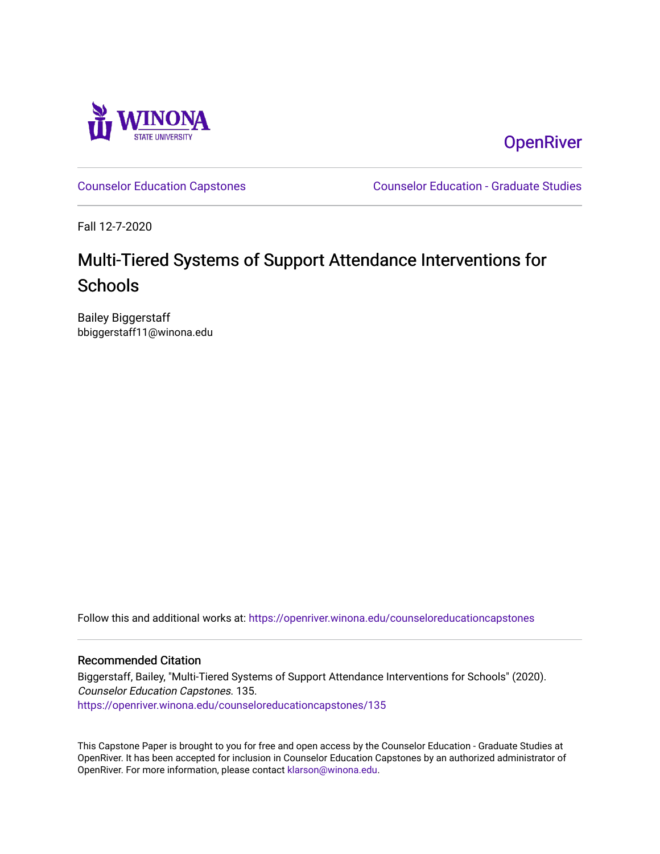

**OpenRiver** 

[Counselor Education Capstones](https://openriver.winona.edu/counseloreducationcapstones) [Counselor Education - Graduate Studies](https://openriver.winona.edu/counseloreducation) 

Fall 12-7-2020

# Multi-Tiered Systems of Support Attendance Interventions for **Schools**

Bailey Biggerstaff bbiggerstaff11@winona.edu

Follow this and additional works at: [https://openriver.winona.edu/counseloreducationcapstones](https://openriver.winona.edu/counseloreducationcapstones?utm_source=openriver.winona.edu%2Fcounseloreducationcapstones%2F135&utm_medium=PDF&utm_campaign=PDFCoverPages)

#### Recommended Citation

Biggerstaff, Bailey, "Multi-Tiered Systems of Support Attendance Interventions for Schools" (2020). Counselor Education Capstones. 135. [https://openriver.winona.edu/counseloreducationcapstones/135](https://openriver.winona.edu/counseloreducationcapstones/135?utm_source=openriver.winona.edu%2Fcounseloreducationcapstones%2F135&utm_medium=PDF&utm_campaign=PDFCoverPages)

This Capstone Paper is brought to you for free and open access by the Counselor Education - Graduate Studies at OpenRiver. It has been accepted for inclusion in Counselor Education Capstones by an authorized administrator of OpenRiver. For more information, please contact [klarson@winona.edu](mailto:klarson@winona.edu).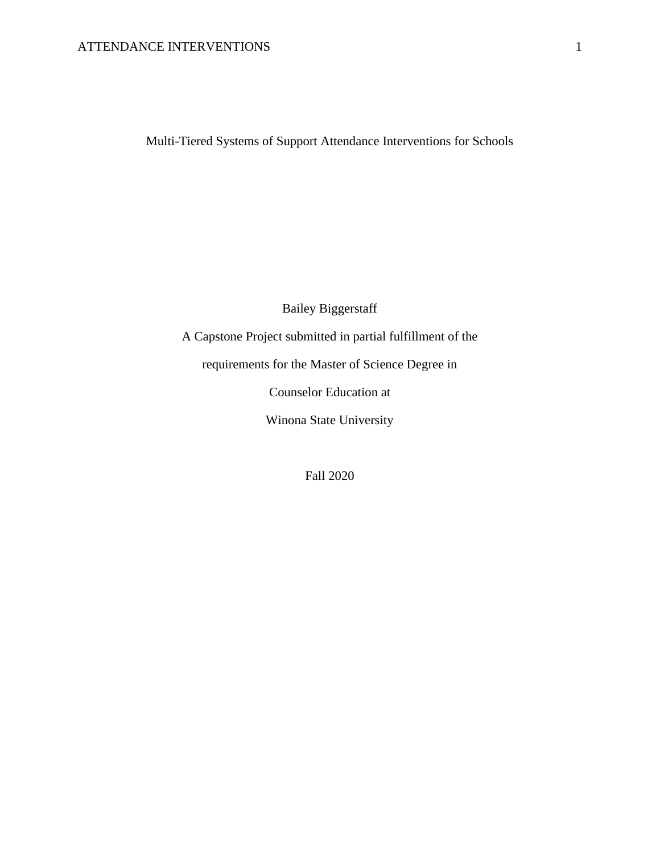# ATTENDANCE INTERVENTIONS 1

Multi-Tiered Systems of Support Attendance Interventions for Schools

Bailey Biggerstaff A Capstone Project submitted in partial fulfillment of the requirements for the Master of Science Degree in Counselor Education at Winona State University

Fall 2020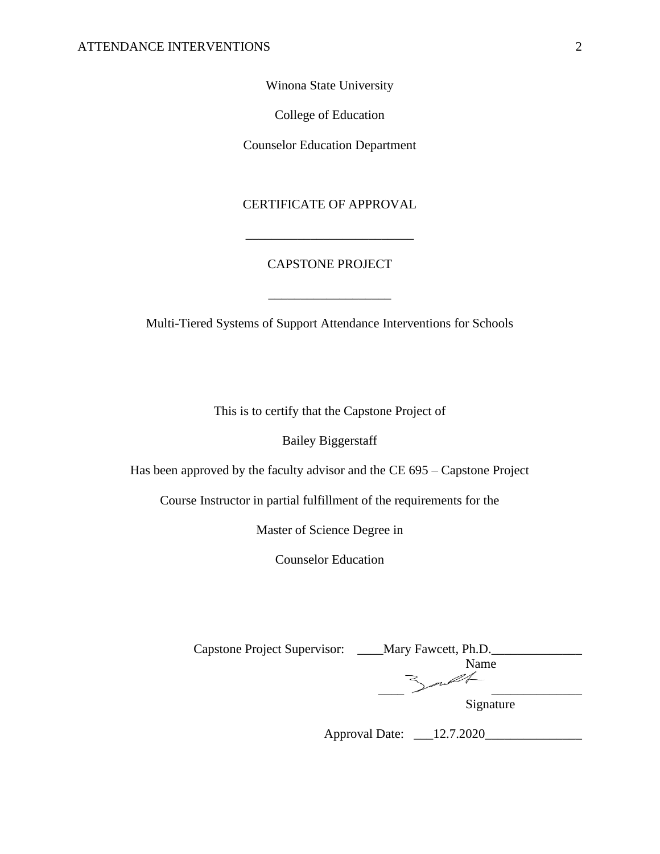Winona State University

College of Education

Counselor Education Department

# CERTIFICATE OF APPROVAL

\_\_\_\_\_\_\_\_\_\_\_\_\_\_\_\_\_\_\_\_\_\_\_\_\_\_

# CAPSTONE PROJECT

Multi-Tiered Systems of Support Attendance Interventions for Schools

 $\overline{\phantom{a}}$  , where  $\overline{\phantom{a}}$  , where  $\overline{\phantom{a}}$  , where  $\overline{\phantom{a}}$ 

This is to certify that the Capstone Project of

Bailey Biggerstaff

Has been approved by the faculty advisor and the CE 695 – Capstone Project

Course Instructor in partial fulfillment of the requirements for the

Master of Science Degree in

Counselor Education

| <b>Capstone Project Supervisor:</b> | Mary Fawcett, Ph.D. |
|-------------------------------------|---------------------|
|                                     | Name                |
|                                     |                     |
|                                     |                     |
|                                     | Signature           |

Approval Date: \_\_\_12.7.2020\_\_\_\_\_\_\_\_\_\_\_\_\_\_\_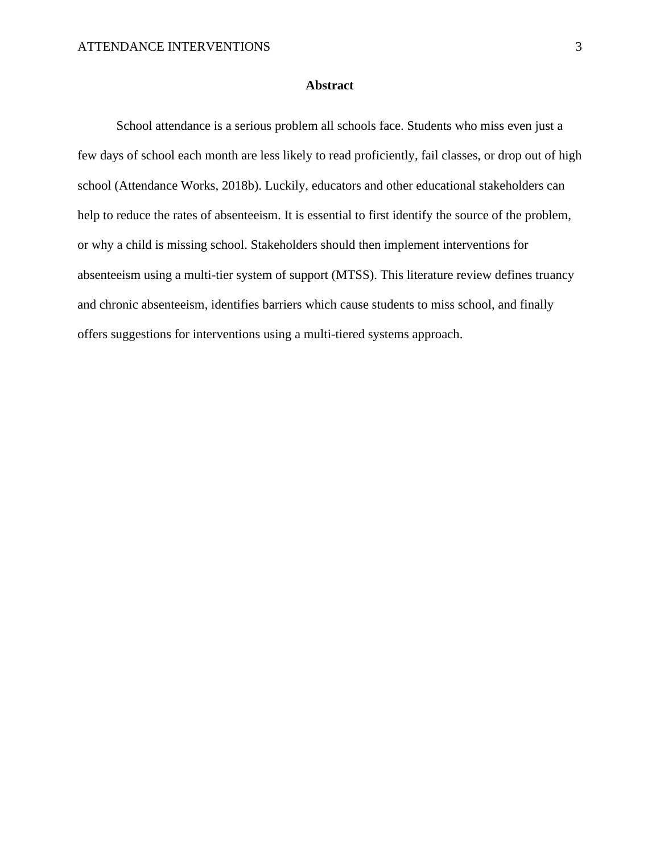## **Abstract**

School attendance is a serious problem all schools face. Students who miss even just a few days of school each month are less likely to read proficiently, fail classes, or drop out of high school (Attendance Works, 2018b). Luckily, educators and other educational stakeholders can help to reduce the rates of absenteeism. It is essential to first identify the source of the problem, or why a child is missing school. Stakeholders should then implement interventions for absenteeism using a multi-tier system of support (MTSS). This literature review defines truancy and chronic absenteeism, identifies barriers which cause students to miss school, and finally offers suggestions for interventions using a multi-tiered systems approach.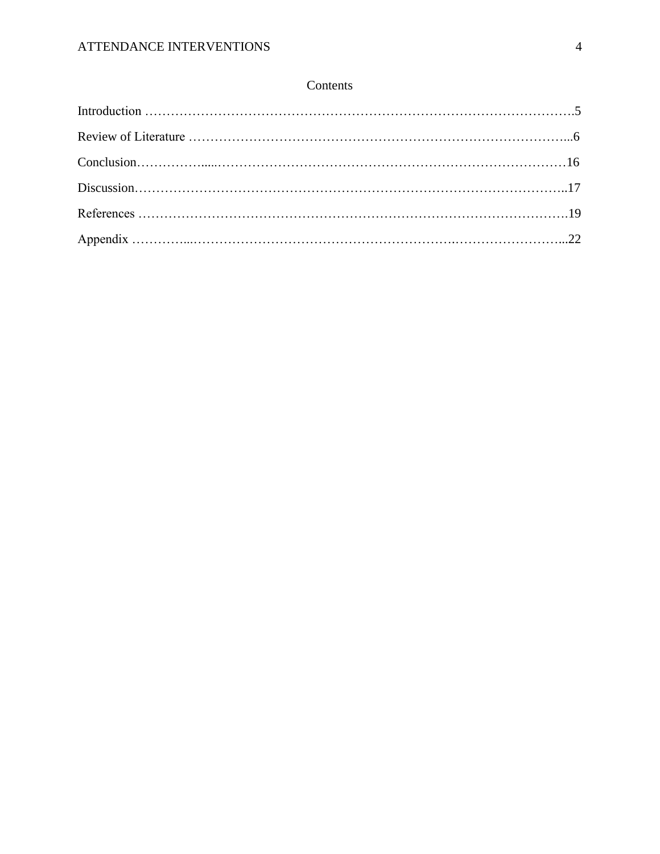# Contents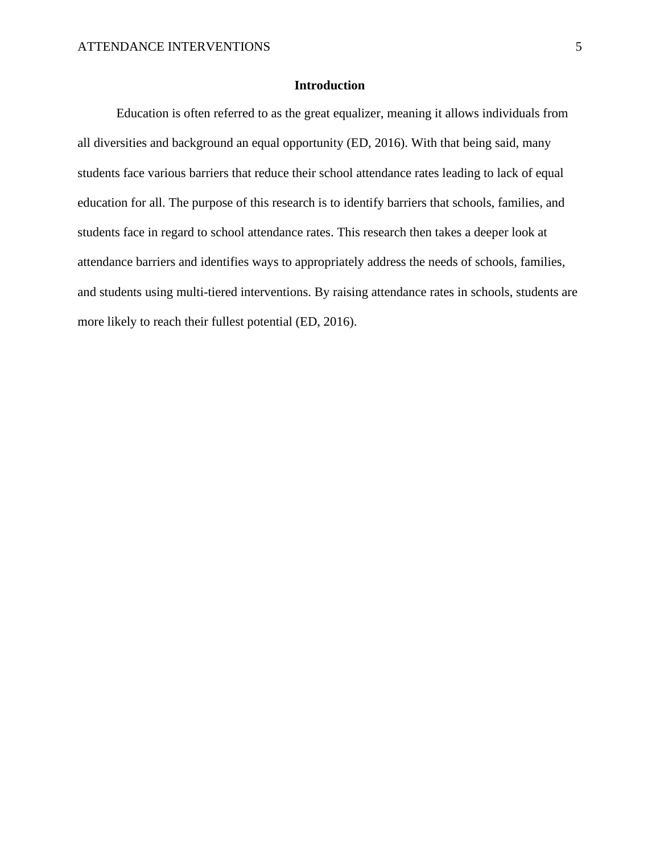# **Introduction**

Education is often referred to as the great equalizer, meaning it allows individuals from all diversities and background an equal opportunity (ED, 2016). With that being said, many students face various barriers that reduce their school attendance rates leading to lack of equal education for all. The purpose of this research is to identify barriers that schools, families, and students face in regard to school attendance rates. This research then takes a deeper look at attendance barriers and identifies ways to appropriately address the needs of schools, families, and students using multi-tiered interventions. By raising attendance rates in schools, students are more likely to reach their fullest potential (ED, 2016).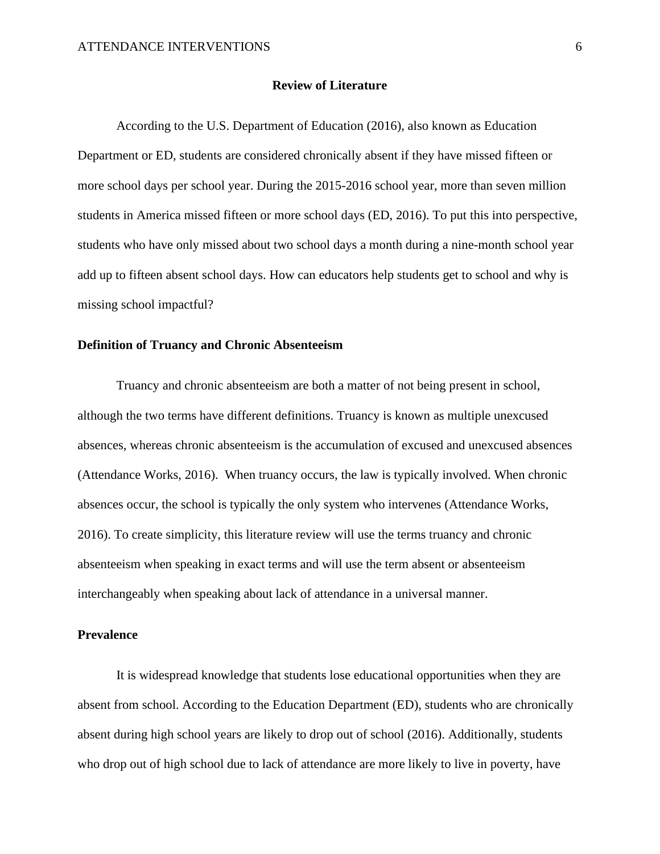#### **Review of Literature**

According to the U.S. Department of Education (2016), also known as Education Department or ED, students are considered chronically absent if they have missed fifteen or more school days per school year. During the 2015-2016 school year, more than seven million students in America missed fifteen or more school days (ED, 2016). To put this into perspective, students who have only missed about two school days a month during a nine-month school year add up to fifteen absent school days. How can educators help students get to school and why is missing school impactful?

# **Definition of Truancy and Chronic Absenteeism**

Truancy and chronic absenteeism are both a matter of not being present in school, although the two terms have different definitions. Truancy is known as multiple unexcused absences, whereas chronic absenteeism is the accumulation of excused and unexcused absences (Attendance Works, 2016). When truancy occurs, the law is typically involved. When chronic absences occur, the school is typically the only system who intervenes (Attendance Works, 2016). To create simplicity, this literature review will use the terms truancy and chronic absenteeism when speaking in exact terms and will use the term absent or absenteeism interchangeably when speaking about lack of attendance in a universal manner.

# **Prevalence**

It is widespread knowledge that students lose educational opportunities when they are absent from school. According to the Education Department (ED), students who are chronically absent during high school years are likely to drop out of school (2016). Additionally, students who drop out of high school due to lack of attendance are more likely to live in poverty, have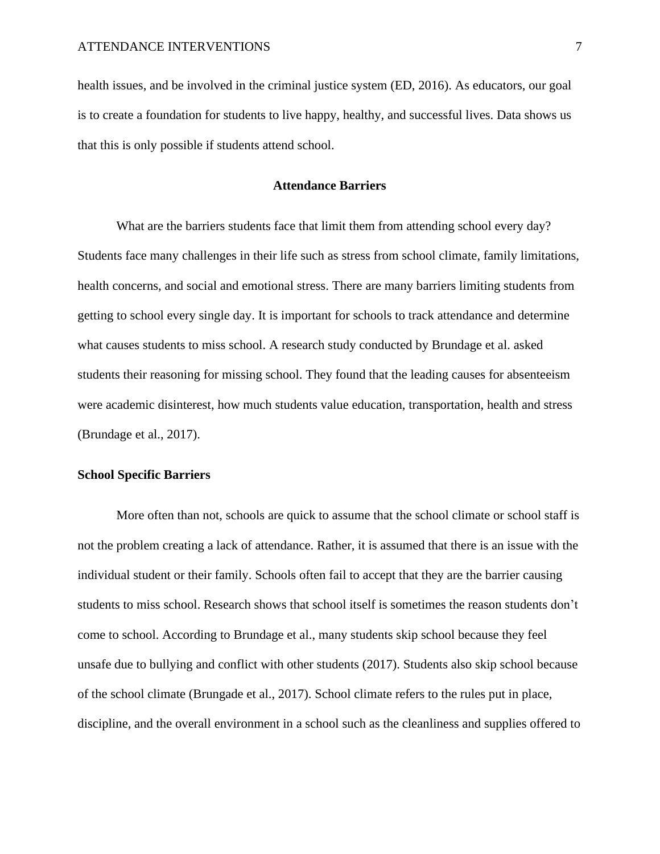health issues, and be involved in the criminal justice system (ED, 2016). As educators, our goal is to create a foundation for students to live happy, healthy, and successful lives. Data shows us that this is only possible if students attend school.

#### **Attendance Barriers**

What are the barriers students face that limit them from attending school every day? Students face many challenges in their life such as stress from school climate, family limitations, health concerns, and social and emotional stress. There are many barriers limiting students from getting to school every single day. It is important for schools to track attendance and determine what causes students to miss school. A research study conducted by Brundage et al. asked students their reasoning for missing school. They found that the leading causes for absenteeism were academic disinterest, how much students value education, transportation, health and stress (Brundage et al., 2017).

#### **School Specific Barriers**

More often than not, schools are quick to assume that the school climate or school staff is not the problem creating a lack of attendance. Rather, it is assumed that there is an issue with the individual student or their family. Schools often fail to accept that they are the barrier causing students to miss school. Research shows that school itself is sometimes the reason students don't come to school. According to Brundage et al., many students skip school because they feel unsafe due to bullying and conflict with other students (2017). Students also skip school because of the school climate (Brungade et al., 2017). School climate refers to the rules put in place, discipline, and the overall environment in a school such as the cleanliness and supplies offered to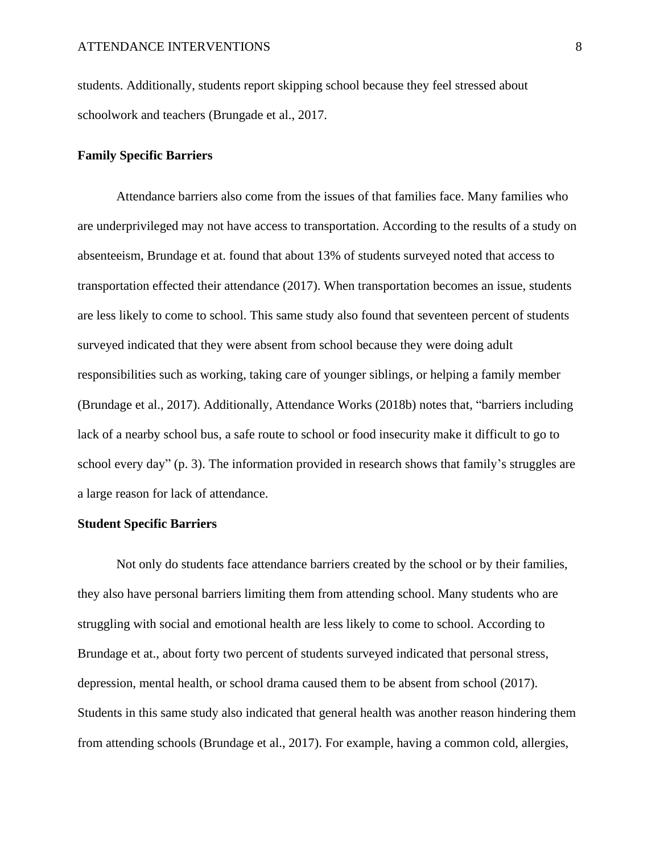students. Additionally, students report skipping school because they feel stressed about schoolwork and teachers (Brungade et al., 2017.

# **Family Specific Barriers**

Attendance barriers also come from the issues of that families face. Many families who are underprivileged may not have access to transportation. According to the results of a study on absenteeism, Brundage et at. found that about 13% of students surveyed noted that access to transportation effected their attendance (2017). When transportation becomes an issue, students are less likely to come to school. This same study also found that seventeen percent of students surveyed indicated that they were absent from school because they were doing adult responsibilities such as working, taking care of younger siblings, or helping a family member (Brundage et al., 2017). Additionally, Attendance Works (2018b) notes that, "barriers including lack of a nearby school bus, a safe route to school or food insecurity make it difficult to go to school every day" (p. 3). The information provided in research shows that family's struggles are a large reason for lack of attendance.

# **Student Specific Barriers**

Not only do students face attendance barriers created by the school or by their families, they also have personal barriers limiting them from attending school. Many students who are struggling with social and emotional health are less likely to come to school. According to Brundage et at., about forty two percent of students surveyed indicated that personal stress, depression, mental health, or school drama caused them to be absent from school (2017). Students in this same study also indicated that general health was another reason hindering them from attending schools (Brundage et al., 2017). For example, having a common cold, allergies,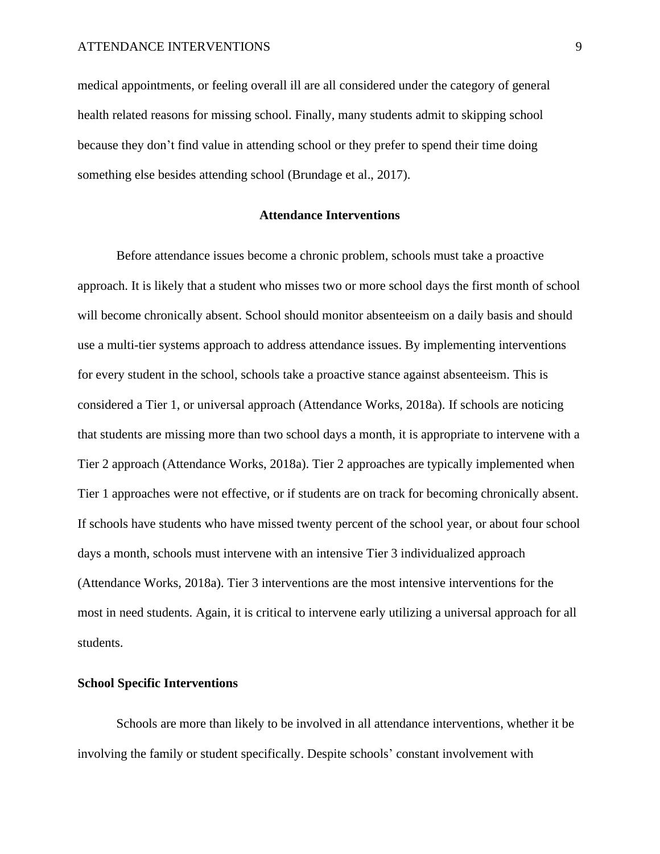medical appointments, or feeling overall ill are all considered under the category of general health related reasons for missing school. Finally, many students admit to skipping school because they don't find value in attending school or they prefer to spend their time doing something else besides attending school (Brundage et al., 2017).

# **Attendance Interventions**

Before attendance issues become a chronic problem, schools must take a proactive approach. It is likely that a student who misses two or more school days the first month of school will become chronically absent. School should monitor absenteeism on a daily basis and should use a multi-tier systems approach to address attendance issues. By implementing interventions for every student in the school, schools take a proactive stance against absenteeism. This is considered a Tier 1, or universal approach (Attendance Works, 2018a). If schools are noticing that students are missing more than two school days a month, it is appropriate to intervene with a Tier 2 approach (Attendance Works, 2018a). Tier 2 approaches are typically implemented when Tier 1 approaches were not effective, or if students are on track for becoming chronically absent. If schools have students who have missed twenty percent of the school year, or about four school days a month, schools must intervene with an intensive Tier 3 individualized approach (Attendance Works, 2018a). Tier 3 interventions are the most intensive interventions for the most in need students. Again, it is critical to intervene early utilizing a universal approach for all students.

#### **School Specific Interventions**

Schools are more than likely to be involved in all attendance interventions, whether it be involving the family or student specifically. Despite schools' constant involvement with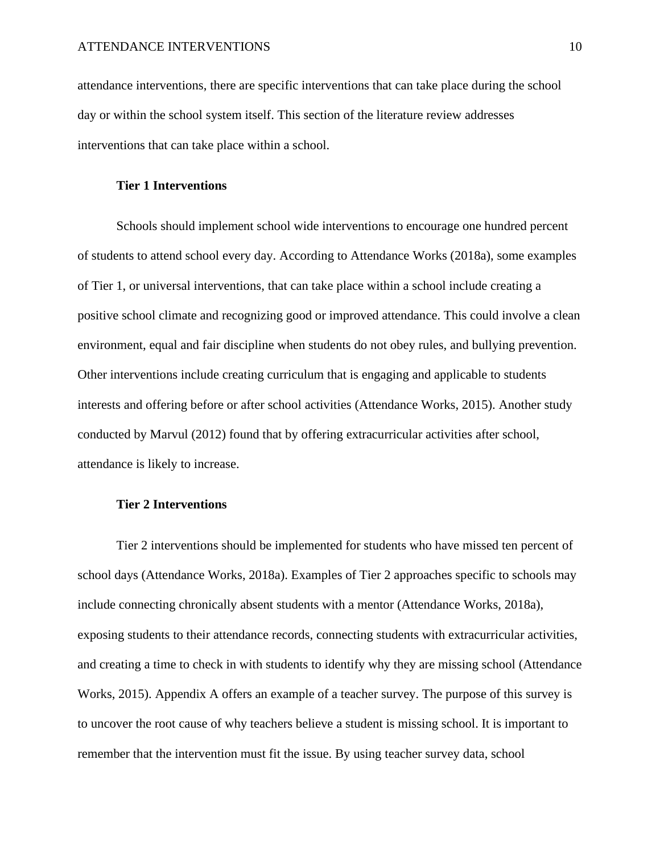attendance interventions, there are specific interventions that can take place during the school day or within the school system itself. This section of the literature review addresses interventions that can take place within a school.

# **Tier 1 Interventions**

Schools should implement school wide interventions to encourage one hundred percent of students to attend school every day. According to Attendance Works (2018a), some examples of Tier 1, or universal interventions, that can take place within a school include creating a positive school climate and recognizing good or improved attendance. This could involve a clean environment, equal and fair discipline when students do not obey rules, and bullying prevention. Other interventions include creating curriculum that is engaging and applicable to students interests and offering before or after school activities (Attendance Works, 2015). Another study conducted by Marvul (2012) found that by offering extracurricular activities after school, attendance is likely to increase.

# **Tier 2 Interventions**

Tier 2 interventions should be implemented for students who have missed ten percent of school days (Attendance Works, 2018a). Examples of Tier 2 approaches specific to schools may include connecting chronically absent students with a mentor (Attendance Works, 2018a), exposing students to their attendance records, connecting students with extracurricular activities, and creating a time to check in with students to identify why they are missing school (Attendance Works, 2015). Appendix A offers an example of a teacher survey. The purpose of this survey is to uncover the root cause of why teachers believe a student is missing school. It is important to remember that the intervention must fit the issue. By using teacher survey data, school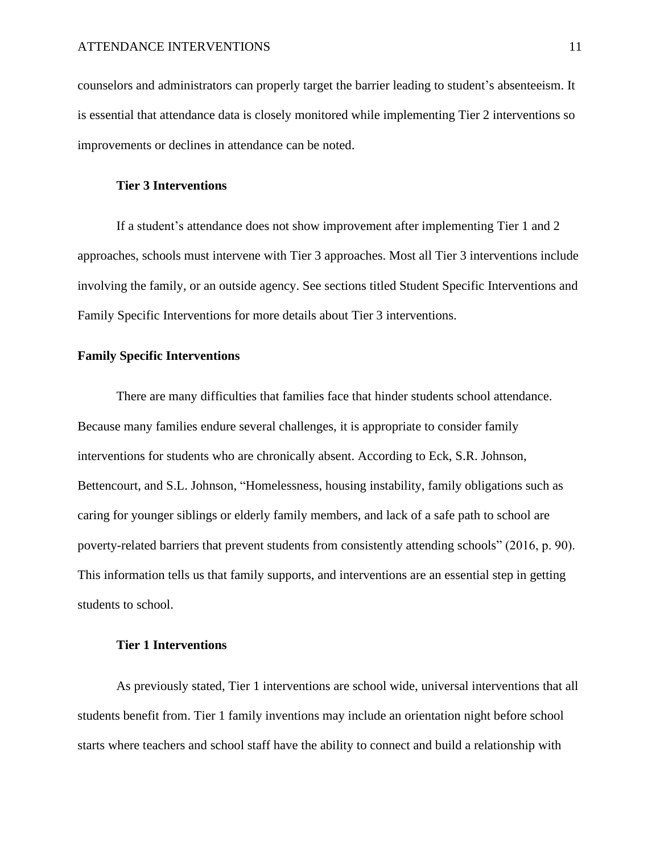counselors and administrators can properly target the barrier leading to student's absenteeism. It is essential that attendance data is closely monitored while implementing Tier 2 interventions so improvements or declines in attendance can be noted.

# **Tier 3 Interventions**

If a student's attendance does not show improvement after implementing Tier 1 and 2 approaches, schools must intervene with Tier 3 approaches. Most all Tier 3 interventions include involving the family, or an outside agency. See sections titled Student Specific Interventions and Family Specific Interventions for more details about Tier 3 interventions.

# **Family Specific Interventions**

There are many difficulties that families face that hinder students school attendance. Because many families endure several challenges, it is appropriate to consider family interventions for students who are chronically absent. According to Eck, S.R. Johnson, Bettencourt, and S.L. Johnson, "Homelessness, housing instability, family obligations such as caring for younger siblings or elderly family members, and lack of a safe path to school are poverty-related barriers that prevent students from consistently attending schools" (2016, p. 90). This information tells us that family supports, and interventions are an essential step in getting students to school.

#### **Tier 1 Interventions**

As previously stated, Tier 1 interventions are school wide, universal interventions that all students benefit from. Tier 1 family inventions may include an orientation night before school starts where teachers and school staff have the ability to connect and build a relationship with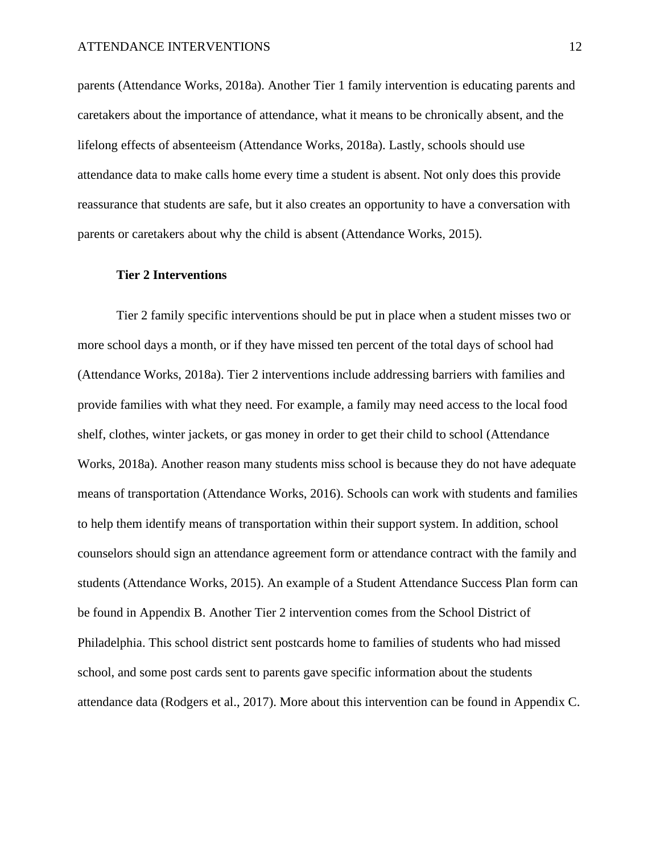parents (Attendance Works, 2018a). Another Tier 1 family intervention is educating parents and caretakers about the importance of attendance, what it means to be chronically absent, and the lifelong effects of absenteeism (Attendance Works, 2018a). Lastly, schools should use attendance data to make calls home every time a student is absent. Not only does this provide reassurance that students are safe, but it also creates an opportunity to have a conversation with parents or caretakers about why the child is absent (Attendance Works, 2015).

#### **Tier 2 Interventions**

Tier 2 family specific interventions should be put in place when a student misses two or more school days a month, or if they have missed ten percent of the total days of school had (Attendance Works, 2018a). Tier 2 interventions include addressing barriers with families and provide families with what they need. For example, a family may need access to the local food shelf, clothes, winter jackets, or gas money in order to get their child to school (Attendance Works, 2018a). Another reason many students miss school is because they do not have adequate means of transportation (Attendance Works, 2016). Schools can work with students and families to help them identify means of transportation within their support system. In addition, school counselors should sign an attendance agreement form or attendance contract with the family and students (Attendance Works, 2015). An example of a Student Attendance Success Plan form can be found in Appendix B. Another Tier 2 intervention comes from the School District of Philadelphia. This school district sent postcards home to families of students who had missed school, and some post cards sent to parents gave specific information about the students attendance data (Rodgers et al., 2017). More about this intervention can be found in Appendix C.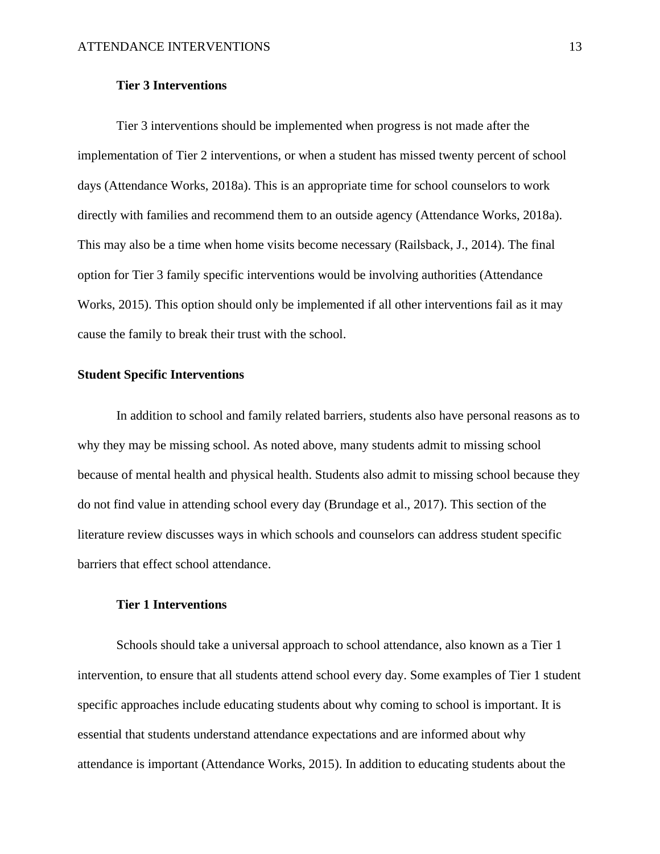#### **Tier 3 Interventions**

Tier 3 interventions should be implemented when progress is not made after the implementation of Tier 2 interventions, or when a student has missed twenty percent of school days (Attendance Works, 2018a). This is an appropriate time for school counselors to work directly with families and recommend them to an outside agency (Attendance Works, 2018a). This may also be a time when home visits become necessary (Railsback, J., 2014). The final option for Tier 3 family specific interventions would be involving authorities (Attendance Works, 2015). This option should only be implemented if all other interventions fail as it may cause the family to break their trust with the school.

# **Student Specific Interventions**

In addition to school and family related barriers, students also have personal reasons as to why they may be missing school. As noted above, many students admit to missing school because of mental health and physical health. Students also admit to missing school because they do not find value in attending school every day (Brundage et al., 2017). This section of the literature review discusses ways in which schools and counselors can address student specific barriers that effect school attendance.

# **Tier 1 Interventions**

Schools should take a universal approach to school attendance, also known as a Tier 1 intervention, to ensure that all students attend school every day. Some examples of Tier 1 student specific approaches include educating students about why coming to school is important. It is essential that students understand attendance expectations and are informed about why attendance is important (Attendance Works, 2015). In addition to educating students about the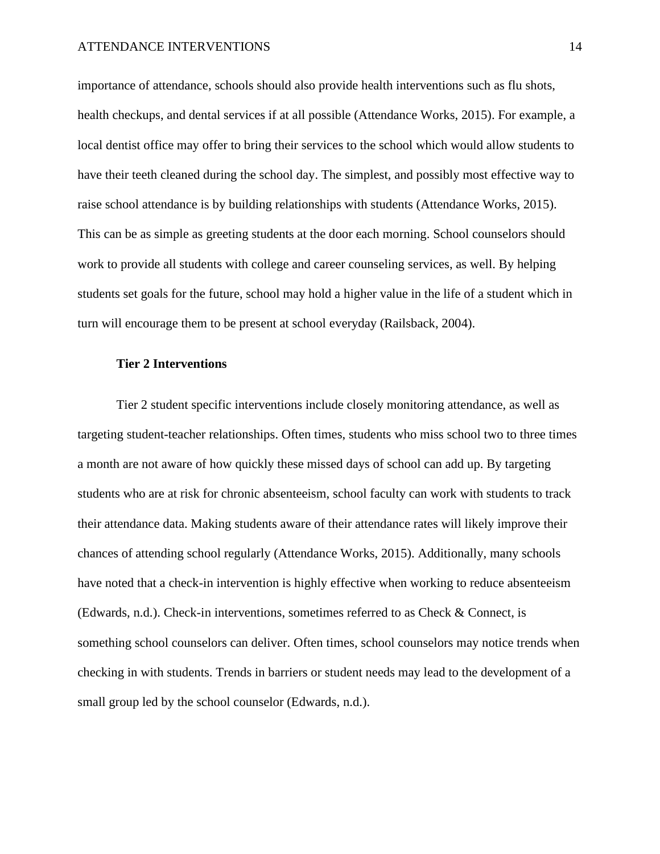#### ATTENDANCE INTERVENTIONS 14

importance of attendance, schools should also provide health interventions such as flu shots, health checkups, and dental services if at all possible (Attendance Works, 2015). For example, a local dentist office may offer to bring their services to the school which would allow students to have their teeth cleaned during the school day. The simplest, and possibly most effective way to raise school attendance is by building relationships with students (Attendance Works, 2015). This can be as simple as greeting students at the door each morning. School counselors should work to provide all students with college and career counseling services, as well. By helping students set goals for the future, school may hold a higher value in the life of a student which in turn will encourage them to be present at school everyday (Railsback, 2004).

#### **Tier 2 Interventions**

Tier 2 student specific interventions include closely monitoring attendance, as well as targeting student-teacher relationships. Often times, students who miss school two to three times a month are not aware of how quickly these missed days of school can add up. By targeting students who are at risk for chronic absenteeism, school faculty can work with students to track their attendance data. Making students aware of their attendance rates will likely improve their chances of attending school regularly (Attendance Works, 2015). Additionally, many schools have noted that a check-in intervention is highly effective when working to reduce absenteeism (Edwards, n.d.). Check-in interventions, sometimes referred to as Check & Connect, is something school counselors can deliver. Often times, school counselors may notice trends when checking in with students. Trends in barriers or student needs may lead to the development of a small group led by the school counselor (Edwards, n.d.).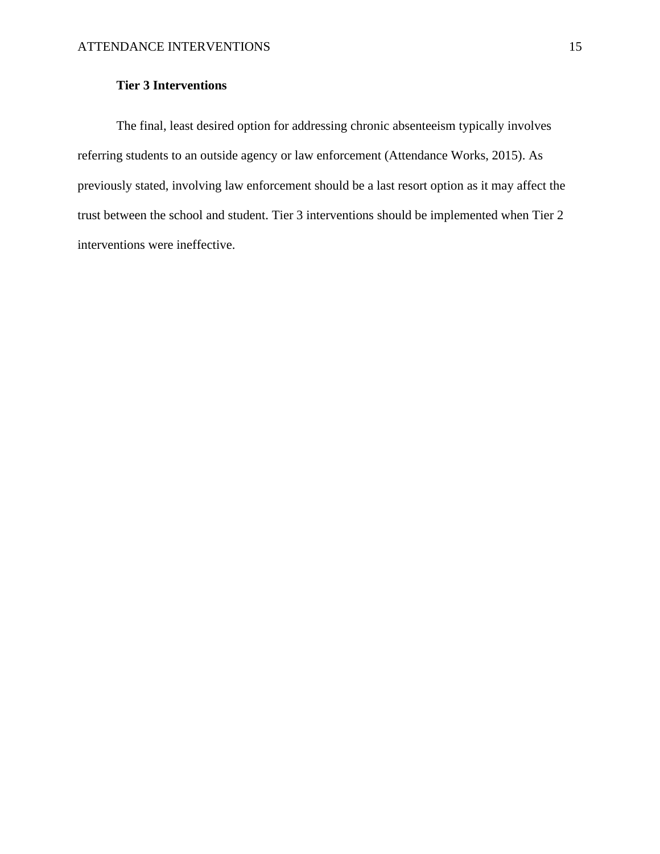# **Tier 3 Interventions**

The final, least desired option for addressing chronic absenteeism typically involves referring students to an outside agency or law enforcement (Attendance Works, 2015). As previously stated, involving law enforcement should be a last resort option as it may affect the trust between the school and student. Tier 3 interventions should be implemented when Tier 2 interventions were ineffective.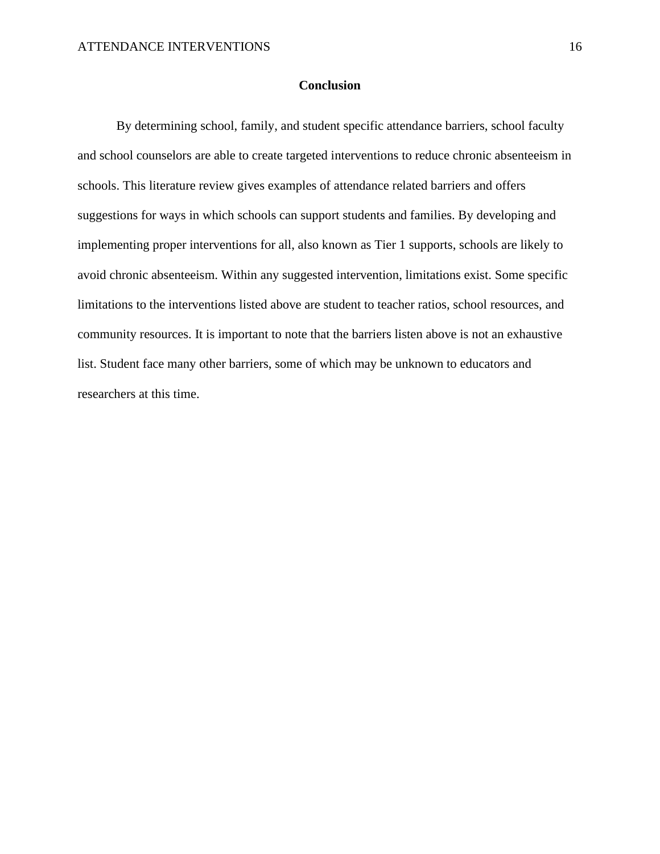## **Conclusion**

By determining school, family, and student specific attendance barriers, school faculty and school counselors are able to create targeted interventions to reduce chronic absenteeism in schools. This literature review gives examples of attendance related barriers and offers suggestions for ways in which schools can support students and families. By developing and implementing proper interventions for all, also known as Tier 1 supports, schools are likely to avoid chronic absenteeism. Within any suggested intervention, limitations exist. Some specific limitations to the interventions listed above are student to teacher ratios, school resources, and community resources. It is important to note that the barriers listen above is not an exhaustive list. Student face many other barriers, some of which may be unknown to educators and researchers at this time.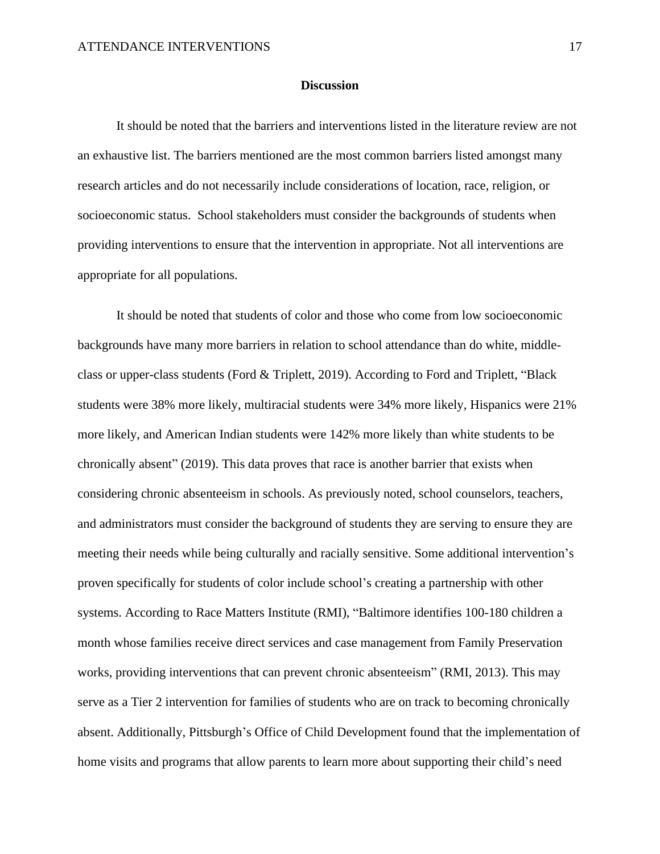#### **Discussion**

It should be noted that the barriers and interventions listed in the literature review are not an exhaustive list. The barriers mentioned are the most common barriers listed amongst many research articles and do not necessarily include considerations of location, race, religion, or socioeconomic status. School stakeholders must consider the backgrounds of students when providing interventions to ensure that the intervention in appropriate. Not all interventions are appropriate for all populations.

It should be noted that students of color and those who come from low socioeconomic backgrounds have many more barriers in relation to school attendance than do white, middleclass or upper-class students (Ford & Triplett, 2019). According to Ford and Triplett, "Black students were 38% more likely, multiracial students were 34% more likely, Hispanics were 21% more likely, and American Indian students were 142% more likely than white students to be chronically absent" (2019). This data proves that race is another barrier that exists when considering chronic absenteeism in schools. As previously noted, school counselors, teachers, and administrators must consider the background of students they are serving to ensure they are meeting their needs while being culturally and racially sensitive. Some additional intervention's proven specifically for students of color include school's creating a partnership with other systems. According to Race Matters Institute (RMI), "Baltimore identifies 100-180 children a month whose families receive direct services and case management from Family Preservation works, providing interventions that can prevent chronic absenteeism" (RMI, 2013). This may serve as a Tier 2 intervention for families of students who are on track to becoming chronically absent. Additionally, Pittsburgh's Office of Child Development found that the implementation of home visits and programs that allow parents to learn more about supporting their child's need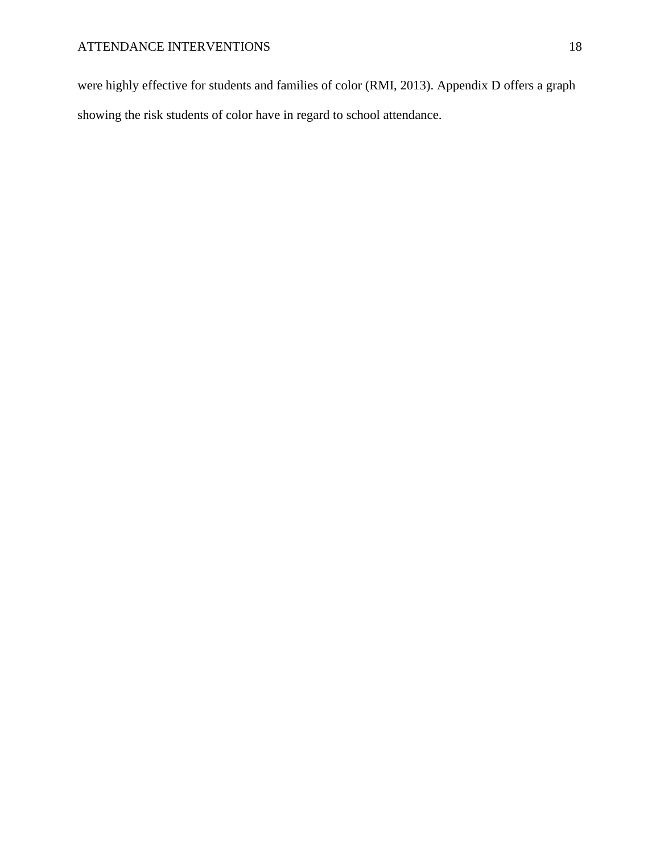were highly effective for students and families of color (RMI, 2013). Appendix D offers a graph showing the risk students of color have in regard to school attendance.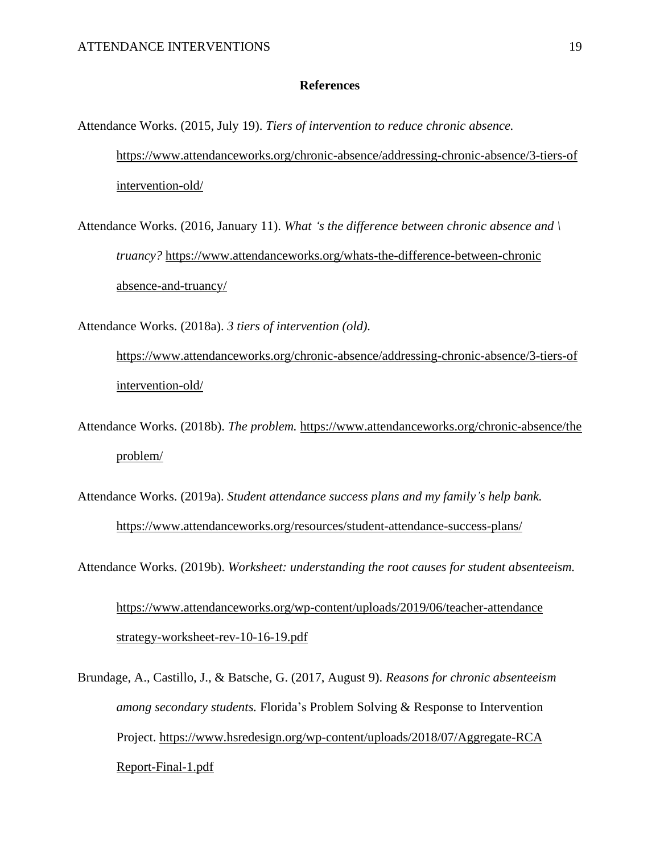#### **References**

Attendance Works. (2015, July 19). *Tiers of intervention to reduce chronic absence.* [https://www.attendanceworks.org/chronic-absence/addressing-chronic-absence/3-tiers-of](https://www.attendanceworks.org/chronic-absence/addressing-chronic-absence/3-tiers-ofintervention-old/) [intervention-old/](https://www.attendanceworks.org/chronic-absence/addressing-chronic-absence/3-tiers-ofintervention-old/)

Attendance Works. (2016, January 11). *What 's the difference between chronic absence and \ truancy?* [https://www.attendanceworks.org/whats-the-difference-between-chronic](https://www.attendanceworks.org/whats-the-difference-between-chronicabsence-and-truancy/) [absence-and-truancy/](https://www.attendanceworks.org/whats-the-difference-between-chronicabsence-and-truancy/)

Attendance Works. (2018a). *3 tiers of intervention (old).*

[https://www.attendanceworks.org/chronic-absence/addressing-chronic-absence/3-tiers-of](https://www.attendanceworks.org/chronic-absence/addressing-chronic-absence/3-tiers-ofintervention-old/) [intervention-old/](https://www.attendanceworks.org/chronic-absence/addressing-chronic-absence/3-tiers-ofintervention-old/)

Attendance Works. (2018b). *The problem.* [https://www.attendanceworks.org/chronic-absence/the](https://www.attendanceworks.org/chronic-absence/theproblem/) [problem/](https://www.attendanceworks.org/chronic-absence/theproblem/)

Attendance Works. (2019a). *Student attendance success plans and my family's help bank.* <https://www.attendanceworks.org/resources/student-attendance-success-plans/>

Attendance Works. (2019b). *Worksheet: understanding the root causes for student absenteeism.*

[https://www.attendanceworks.org/wp-content/uploads/2019/06/teacher-attendance](https://www.attendanceworks.org/wp-content/uploads/2019/06/teacher-attendancestrategy-worksheet-rev-10-16-19.pdf) [strategy-worksheet-rev-10-16-19.pdf](https://www.attendanceworks.org/wp-content/uploads/2019/06/teacher-attendancestrategy-worksheet-rev-10-16-19.pdf)

Brundage, A., Castillo, J., & Batsche, G. (2017, August 9). *Reasons for chronic absenteeism among secondary students.* Florida's Problem Solving & Response to Intervention Project. [https://www.hsredesign.org/wp-content/uploads/2018/07/Aggregate-RCA](https://www.hsredesign.org/wp-content/uploads/2018/07/Aggregate-RCAReport-Final-1.pdf) [Report-Final-1.pdf](https://www.hsredesign.org/wp-content/uploads/2018/07/Aggregate-RCAReport-Final-1.pdf)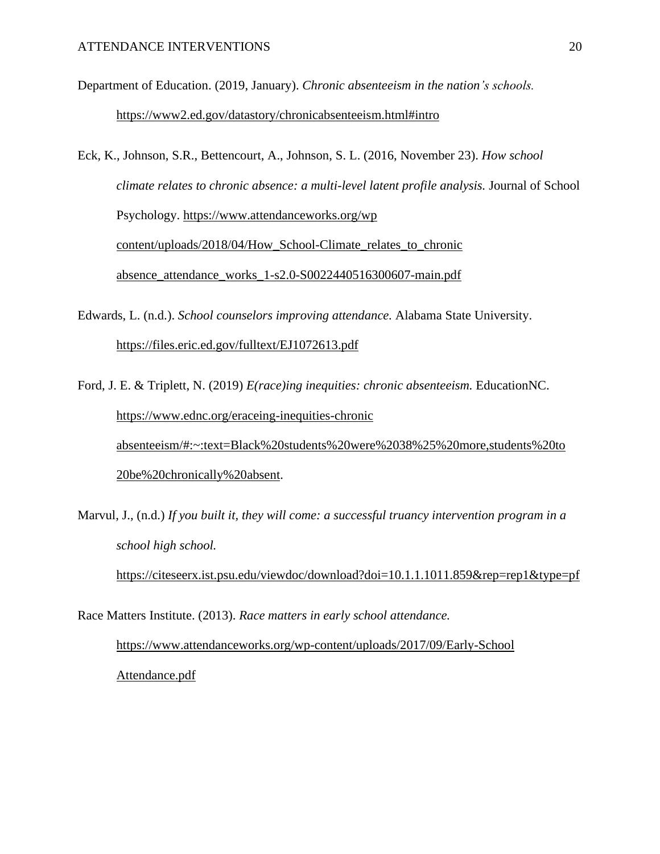Department of Education. (2019, January). *Chronic absenteeism in the nation's schools.* <https://www2.ed.gov/datastory/chronicabsenteeism.html#intro>

Eck, K., Johnson, S.R., Bettencourt, A., Johnson, S. L. (2016, November 23). *How school climate relates to chronic absence: a multi-level latent profile analysis.* Journal of School Psychology. [https://www.attendanceworks.org/wp](https://www.attendanceworks.org/wpcontent/uploads/2018/04/How_School-Climate_relates_to_chronicabsence_attendance_works_1-s2.0-S0022440516300607-main.pdf) [content/uploads/2018/04/How\\_School-Climate\\_relates\\_to\\_chronic](https://www.attendanceworks.org/wpcontent/uploads/2018/04/How_School-Climate_relates_to_chronicabsence_attendance_works_1-s2.0-S0022440516300607-main.pdf) [absence\\_attendance\\_works\\_1-s2.0-S0022440516300607-main.pdf](https://www.attendanceworks.org/wpcontent/uploads/2018/04/How_School-Climate_relates_to_chronicabsence_attendance_works_1-s2.0-S0022440516300607-main.pdf)

Edwards, L. (n.d.). *School counselors improving attendance.* Alabama State University. <https://files.eric.ed.gov/fulltext/EJ1072613.pdf>

Ford, J. E. & Triplett, N. (2019) *E(race)ing inequities: chronic absenteeism.* EducationNC. [https://www.ednc.org/eraceing-inequities-chronic](https://www.ednc.org/eraceing-inequities-chronicabsenteeism/#:~:text=Black%20students%20were%2038%25%20more,students%20to) [absenteeism/#:~:text=Black%20students%20were%2038%25%20more,students%20to](https://www.ednc.org/eraceing-inequities-chronicabsenteeism/#:~:text=Black%20students%20were%2038%25%20more,students%20to) [20be%20chronically%20absent.](https://www.ednc.org/eraceing-inequities-chronicabsenteeism/#:~:text=Black%20students%20were%2038%25%20more,students%20to)

Marvul, J., (n.d.) *If you built it, they will come: a successful truancy intervention program in a school high school.*

<https://citeseerx.ist.psu.edu/viewdoc/download?doi=10.1.1.1011.859&rep=rep1&type=pf>

Race Matters Institute. (2013). *Race matters in early school attendance.*

[https://www.attendanceworks.org/wp-content/uploads/2017/09/Early-School](https://www.attendanceworks.org/wp-content/uploads/2017/09/Early-SchoolAttendance.pdf) [Attendance.pdf](https://www.attendanceworks.org/wp-content/uploads/2017/09/Early-SchoolAttendance.pdf)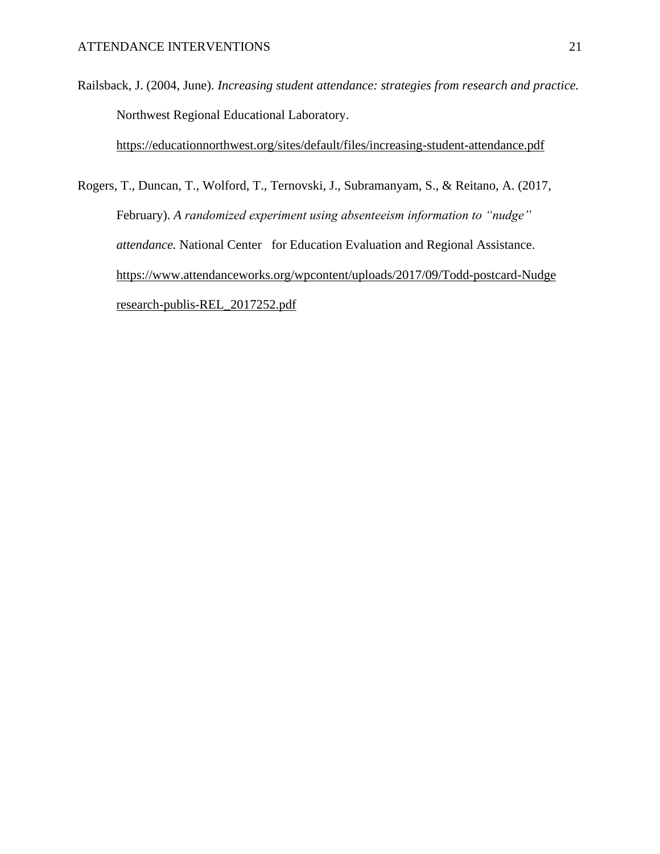Railsback, J. (2004, June). *Increasing student attendance: strategies from research and practice.* Northwest Regional Educational Laboratory.

<https://educationnorthwest.org/sites/default/files/increasing-student-attendance.pdf>

Rogers, T., Duncan, T., Wolford, T., Ternovski, J., Subramanyam, S., & Reitano, A. (2017, February). *A randomized experiment using absenteeism information to "nudge" attendance.* National Center for Education Evaluation and Regional Assistance. [https://www.attendanceworks.org/wpcontent/uploads/2017/09/Todd-postcard-Nudge](https://www.attendanceworks.org/wpcontent/uploads/2017/09/Todd-postcard-Nudgeresearch-publis-REL_2017252.pdf) [research-publis-REL\\_2017252.pdf](https://www.attendanceworks.org/wpcontent/uploads/2017/09/Todd-postcard-Nudgeresearch-publis-REL_2017252.pdf)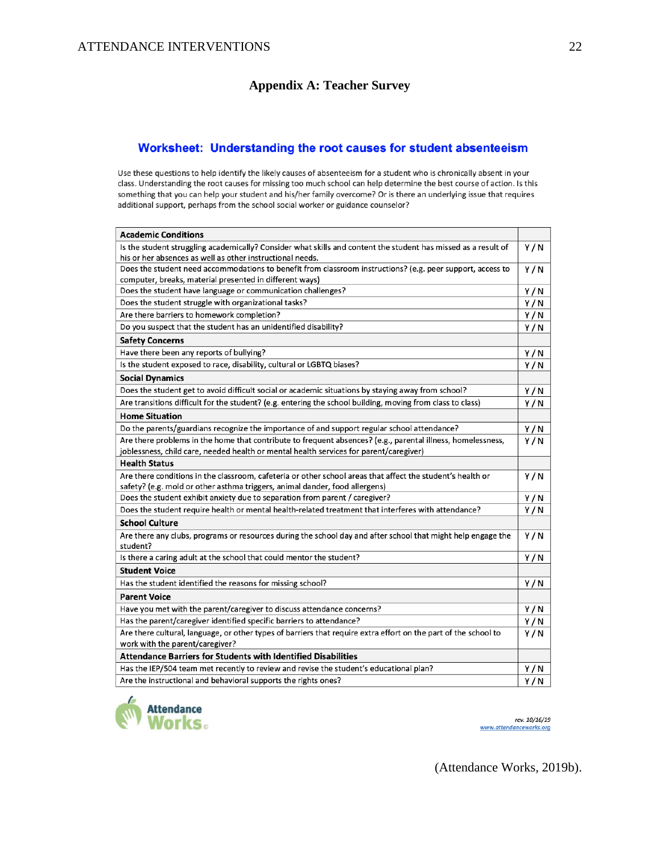# **Appendix A: Teacher Survey**

#### Worksheet: Understanding the root causes for student absenteeism

Use these questions to help identify the likely causes of absenteeism for a student who is chronically absent in your class. Understanding the root causes for missing too much school can help determine the best course of action. Is this something that you can help your student and his/her family overcome? Or is there an underlying issue that requires additional support, perhaps from the school social worker or guidance counselor?

| <b>Academic Conditions</b>                                                                                                                                                                            |     |
|-------------------------------------------------------------------------------------------------------------------------------------------------------------------------------------------------------|-----|
| Is the student struggling academically? Consider what skills and content the student has missed as a result of<br>his or her absences as well as other instructional needs.                           | Y/N |
| Does the student need accommodations to benefit from classroom instructions? (e.g. peer support, access to<br>computer, breaks, material presented in different ways)                                 | Y/N |
| Does the student have language or communication challenges?                                                                                                                                           | Y/N |
| Does the student struggle with organizational tasks?                                                                                                                                                  | Y/N |
| Are there barriers to homework completion?                                                                                                                                                            | Y/N |
| Do you suspect that the student has an unidentified disability?                                                                                                                                       | Y/N |
| <b>Safety Concerns</b>                                                                                                                                                                                |     |
| Have there been any reports of bullying?                                                                                                                                                              | Y/N |
| Is the student exposed to race, disability, cultural or LGBTQ biases?                                                                                                                                 | Y/N |
| <b>Social Dynamics</b>                                                                                                                                                                                |     |
| Does the student get to avoid difficult social or academic situations by staying away from school?                                                                                                    | Y/N |
| Are transitions difficult for the student? (e.g. entering the school building, moving from class to class)                                                                                            | Y/N |
| <b>Home Situation</b>                                                                                                                                                                                 |     |
| Do the parents/guardians recognize the importance of and support regular school attendance?                                                                                                           | Y/N |
| Are there problems in the home that contribute to frequent absences? (e.g., parental illness, homelessness,<br>joblessness, child care, needed health or mental health services for parent/caregiver) | Y/N |
| <b>Health Status</b>                                                                                                                                                                                  |     |
| Are there conditions in the classroom, cafeteria or other school areas that affect the student's health or                                                                                            | Y/N |
| safety? (e.g. mold or other asthma triggers, animal dander, food allergens)                                                                                                                           |     |
| Does the student exhibit anxiety due to separation from parent / caregiver?                                                                                                                           | Y/N |
| Does the student require health or mental health-related treatment that interferes with attendance?                                                                                                   | Y/N |
| <b>School Culture</b>                                                                                                                                                                                 |     |
| Are there any clubs, programs or resources during the school day and after school that might help engage the<br>student?                                                                              | Y/N |
| Is there a caring adult at the school that could mentor the student?                                                                                                                                  | Y/N |
| <b>Student Voice</b>                                                                                                                                                                                  |     |
| Has the student identified the reasons for missing school?                                                                                                                                            | Y/N |
| <b>Parent Voice</b>                                                                                                                                                                                   |     |
| Have you met with the parent/caregiver to discuss attendance concerns?                                                                                                                                | Y/N |
| Has the parent/caregiver identified specific barriers to attendance?                                                                                                                                  | Y/N |
| Are there cultural, language, or other types of barriers that require extra effort on the part of the school to<br>work with the parent/caregiver?                                                    | Y/N |
| <b>Attendance Barriers for Students with Identified Disabilities</b>                                                                                                                                  |     |
| Has the IEP/504 team met recently to review and revise the student's educational plan?                                                                                                                | Y/N |
| Are the instructional and behavioral supports the rights ones?                                                                                                                                        | Y/N |



rev. 10/16/19 www.attendanceworks.org

(Attendance Works, 2019b).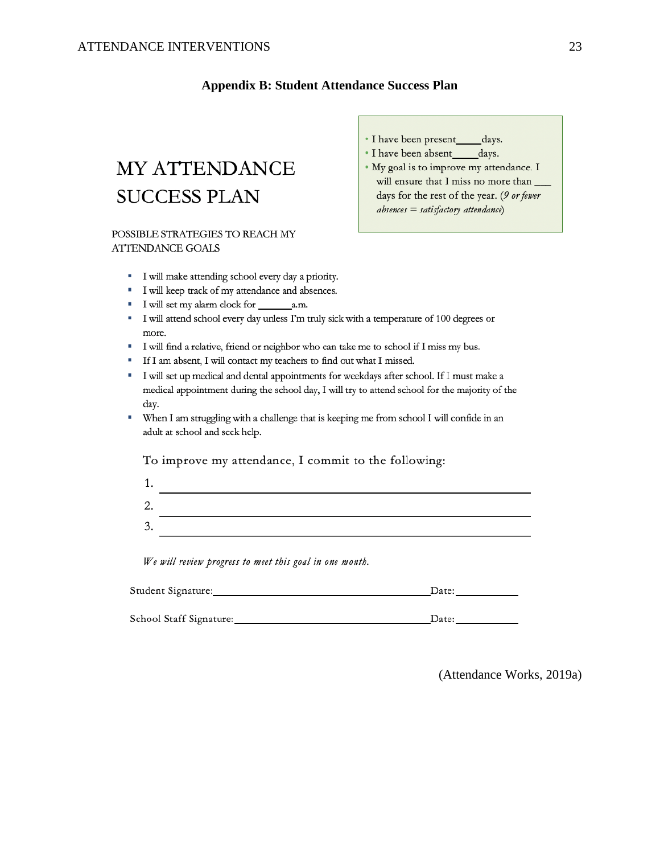# **Appendix B: Student Attendance Success Plan**

# MY ATTENDANCE **SUCCESS PLAN**

#### POSSIBLE STRATEGIES TO REACH MY **ATTENDANCE GOALS**

- I have been present days.
- I have been absent\_\_\_\_\_days.
- My goal is to improve my attendance. I will ensure that I miss no more than days for the rest of the year. (9 or fewer  $absences = satisfactory$  attendance)
- I will make attending school every day a priority.
- I will keep track of my attendance and absences.
- I will set my alarm clock for a.m.
- I will attend school every day unless I'm truly sick with a temperature of 100 degrees or more.
- " I will find a relative, friend or neighbor who can take me to school if I miss my bus.
- " If I am absent, I will contact my teachers to find out what I missed.
- " I will set up medical and dental appointments for weekdays after school. If I must make a medical appointment during the school day, I will try to attend school for the majority of the day.
- " When I am struggling with a challenge that is keeping me from school I will confide in an adult at school and seek help.

To improve my attendance, I commit to the following:

2. 3.

We will review progress to meet this goal in one month.

| Student Signature: |  |
|--------------------|--|
|                    |  |

School Staff Signature: Date: Date:

(Attendance Works, 2019a)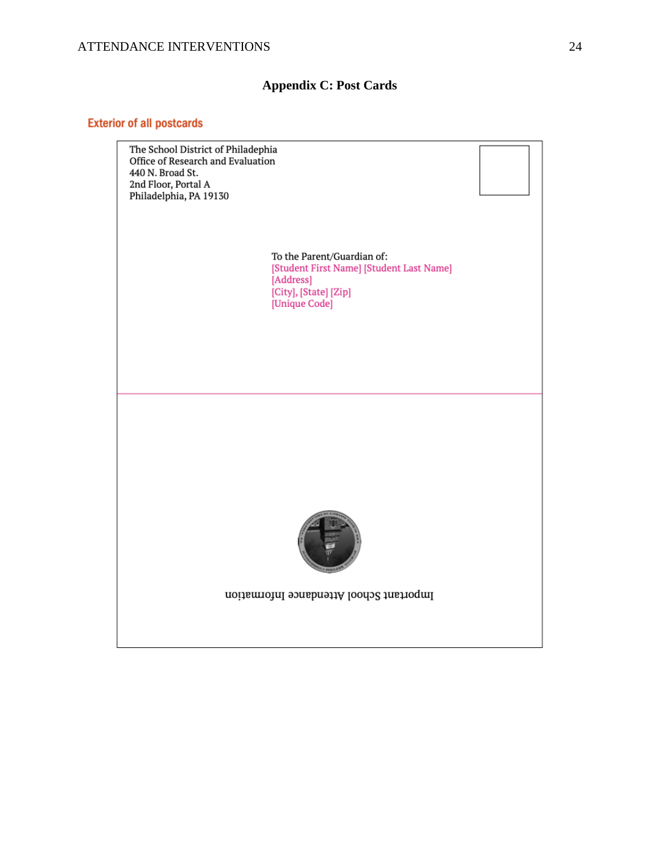# **Appendix C: Post Cards**

# **Exterior of all postcards**

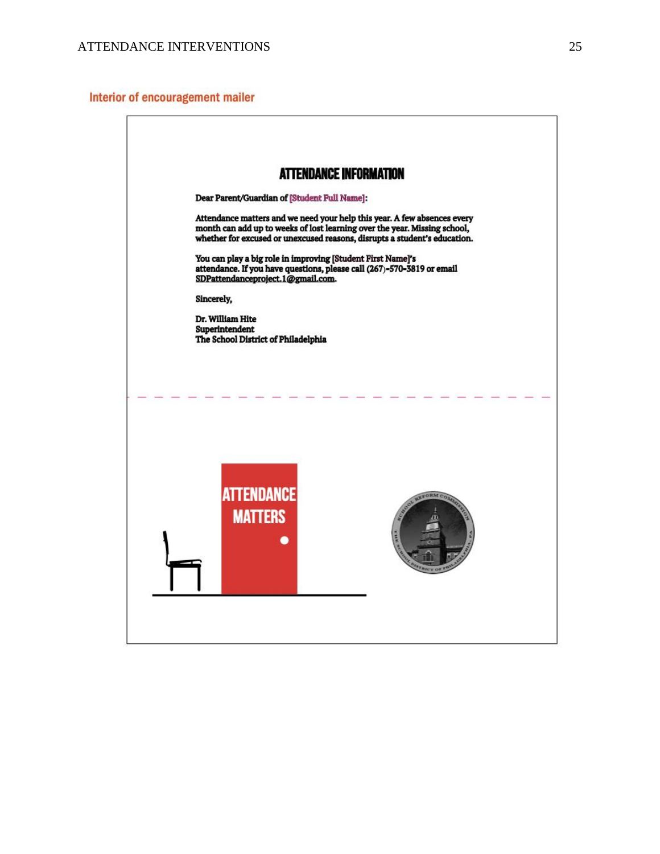## Interior of encouragement mailer

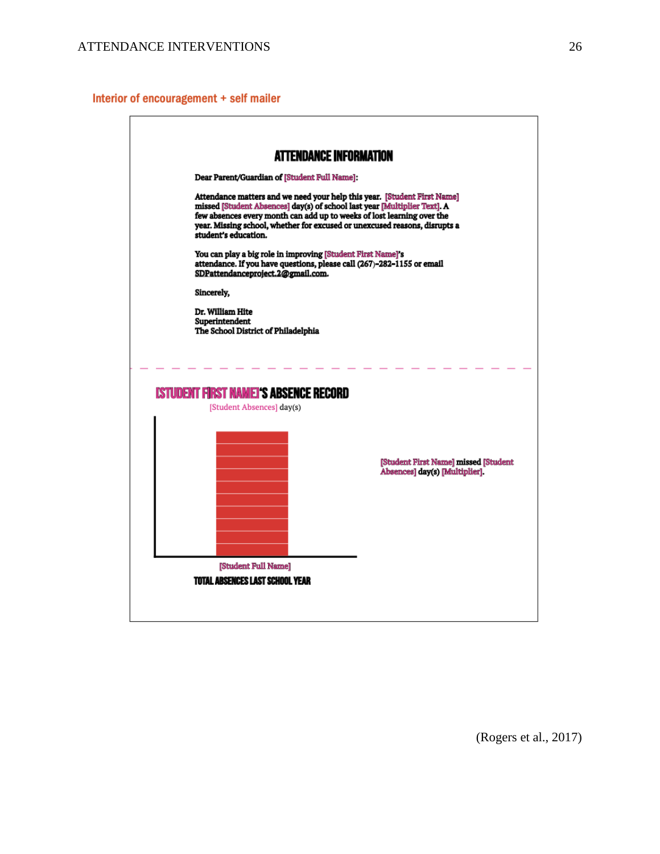# Interior of encouragement + self mailer

|                                                                                                             | <b>ATTENDANCE INFORMATION</b>                                                                                                                                                                                                                                                                                 |
|-------------------------------------------------------------------------------------------------------------|---------------------------------------------------------------------------------------------------------------------------------------------------------------------------------------------------------------------------------------------------------------------------------------------------------------|
| Dear Parent/Guardian of [Student Full Name]:                                                                |                                                                                                                                                                                                                                                                                                               |
| student's education.<br>You can play a big role in improving [Student First Name]'s                         | Attendance matters and we need your help this year. [Student First Name]<br>missed [Student Absences] day(s) of school last year [Multiplier Text]. A<br>few absences every month can add up to weeks of lost learning over the<br>year. Missing school, whether for excused or unexcused reasons, disrupts a |
| attendance. If you have questions, please call (267)-282-1155 or email<br>SDPattendanceproject.2@gmail.com. |                                                                                                                                                                                                                                                                                                               |
| Sincerely,                                                                                                  |                                                                                                                                                                                                                                                                                                               |
| Dr. William Hite<br>Superintendent<br>The School District of Philadelphia                                   |                                                                                                                                                                                                                                                                                                               |
| Istudent first namel's absence record                                                                       |                                                                                                                                                                                                                                                                                                               |
| [Student Absences] day(s)                                                                                   |                                                                                                                                                                                                                                                                                                               |
|                                                                                                             | [Student First Name] missed [Student<br>Absences] day(s) [Multiplier].                                                                                                                                                                                                                                        |
|                                                                                                             |                                                                                                                                                                                                                                                                                                               |
| [Student Full Name]<br>TOTAL ABSENCES LAST SCHOOL YEAR                                                      |                                                                                                                                                                                                                                                                                                               |

٦

(Rogers et al., 2017)